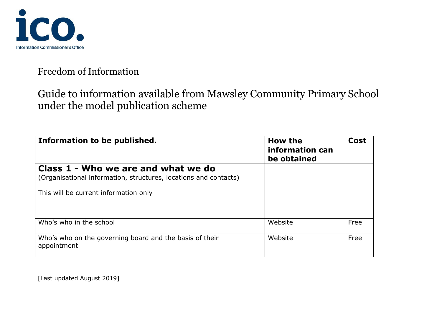

Guide to information available from Mawsley Community Primary School under the model publication scheme

| Information to be published.                                                                            | How the<br>information can<br>be obtained | Cost |
|---------------------------------------------------------------------------------------------------------|-------------------------------------------|------|
| Class 1 - Who we are and what we do<br>(Organisational information, structures, locations and contacts) |                                           |      |
| This will be current information only                                                                   |                                           |      |
| Who's who in the school                                                                                 | Website                                   | Free |
| Who's who on the governing board and the basis of their<br>appointment                                  | Website                                   | Free |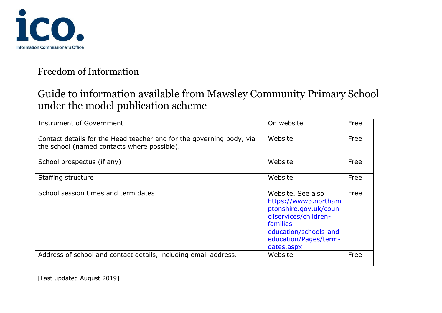

# Guide to information available from Mawsley Community Primary School under the model publication scheme

| <b>Instrument of Government</b>                                                                                     | On website                                                                                                                                                                | Free |
|---------------------------------------------------------------------------------------------------------------------|---------------------------------------------------------------------------------------------------------------------------------------------------------------------------|------|
| Contact details for the Head teacher and for the governing body, via<br>the school (named contacts where possible). | Website                                                                                                                                                                   | Free |
| School prospectus (if any)                                                                                          | Website                                                                                                                                                                   | Free |
| Staffing structure                                                                                                  | Website                                                                                                                                                                   | Free |
| School session times and term dates                                                                                 | Website, See also<br>https://www3.northam<br>ptonshire.gov.uk/coun<br>cilservices/children-<br>families-<br>education/schools-and-<br>education/Pages/term-<br>dates.aspx | Free |
| Address of school and contact details, including email address.                                                     | Website                                                                                                                                                                   | Free |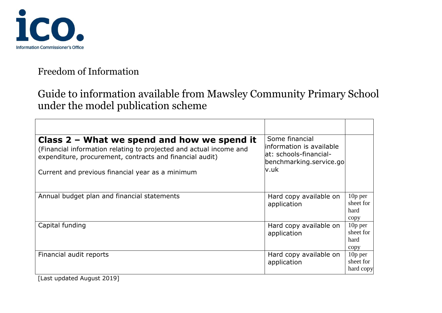

# Guide to information available from Mawsley Community Primary School under the model publication scheme

| Class 2 - What we spend and how we spend it<br>(Financial information relating to projected and actual income and<br>expenditure, procurement, contracts and financial audit)<br>Current and previous financial year as a minimum | Some financial<br>information is available<br>at: schools-financial-<br>benchmarking.service.go<br>v.uk |                                        |
|-----------------------------------------------------------------------------------------------------------------------------------------------------------------------------------------------------------------------------------|---------------------------------------------------------------------------------------------------------|----------------------------------------|
| Annual budget plan and financial statements                                                                                                                                                                                       | Hard copy available on<br>application                                                                   | $10p$ per<br>sheet for<br>hard<br>copy |
| Capital funding                                                                                                                                                                                                                   | Hard copy available on<br>application                                                                   | $10p$ per<br>sheet for<br>hard<br>copy |
| Financial audit reports                                                                                                                                                                                                           | Hard copy available on<br>application                                                                   | $10p$ per<br>sheet for<br>hard copy    |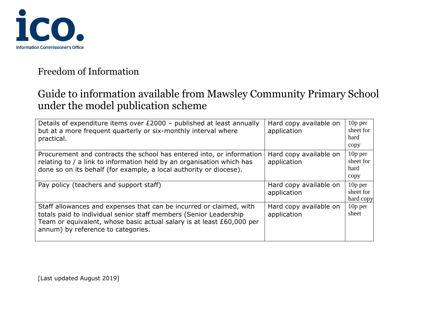

# Guide to information available from Mawsley Community Primary School under the model publication scheme

| Details of expenditure items over £2000 - published at least annually<br>but at a more frequent quarterly or six-monthly interval where<br>practical.                                                                                                   | Hard copy available on<br>application | $10p$ per<br>sheet for<br>hard<br>copy |
|---------------------------------------------------------------------------------------------------------------------------------------------------------------------------------------------------------------------------------------------------------|---------------------------------------|----------------------------------------|
| Procurement and contracts the school has entered into, or information<br>relating to / a link to information held by an organisation which has<br>done so on its behalf (for example, a local authority or diocese).                                    | Hard copy available on<br>application | 10p per<br>sheet for<br>hard<br>copy   |
| Pay policy (teachers and support staff)                                                                                                                                                                                                                 | Hard copy available on<br>application | $10p$ per<br>sheet for<br>hard copy    |
| Staff allowances and expenses that can be incurred or claimed, with<br>totals paid to individual senior staff members (Senior Leadership<br>Team or equivalent, whose basic actual salary is at least £60,000 per<br>annum) by reference to categories. | Hard copy available on<br>application | $10p$ per<br>sheet                     |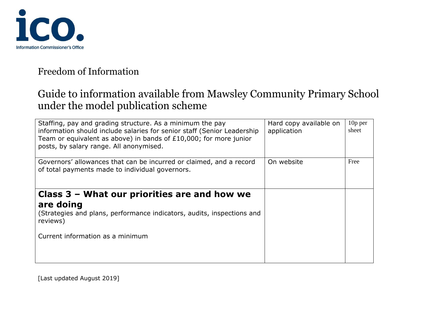

### Guide to information available from Mawsley Community Primary School under the model publication scheme

| Staffing, pay and grading structure. As a minimum the pay<br>information should include salaries for senior staff (Senior Leadership<br>Team or equivalent as above) in bands of £10,000; for more junior<br>posts, by salary range. All anonymised. | Hard copy available on<br>application | 10 <sub>p</sub> per<br>sheet |
|------------------------------------------------------------------------------------------------------------------------------------------------------------------------------------------------------------------------------------------------------|---------------------------------------|------------------------------|
| Governors' allowances that can be incurred or claimed, and a record<br>of total payments made to individual governors.                                                                                                                               | On website                            | Free                         |
| Class $3$ – What our priorities are and how we<br>are doing<br>(Strategies and plans, performance indicators, audits, inspections and<br>reviews)                                                                                                    |                                       |                              |
| Current information as a minimum                                                                                                                                                                                                                     |                                       |                              |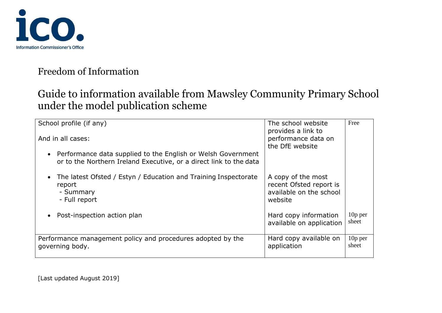

# Guide to information available from Mawsley Community Primary School under the model publication scheme

| School profile (if any)                                                                                                              | The school website<br>provides a link to                                            | Free               |
|--------------------------------------------------------------------------------------------------------------------------------------|-------------------------------------------------------------------------------------|--------------------|
| And in all cases:                                                                                                                    | performance data on<br>the DfE website                                              |                    |
| • Performance data supplied to the English or Welsh Government<br>or to the Northern Ireland Executive, or a direct link to the data |                                                                                     |                    |
| The latest Ofsted / Estyn / Education and Training Inspectorate<br>$\bullet$<br>report<br>- Summary<br>- Full report                 | A copy of the most<br>recent Ofsted report is<br>available on the school<br>website |                    |
| Post-inspection action plan                                                                                                          | Hard copy information<br>available on application                                   | $10p$ per<br>sheet |
| Performance management policy and procedures adopted by the<br>governing body.                                                       | Hard copy available on<br>application                                               | $10p$ per<br>sheet |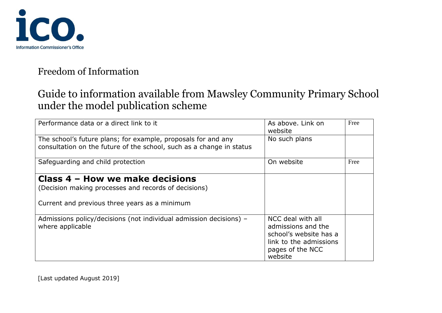

# Guide to information available from Mawsley Community Primary School under the model publication scheme

| Performance data or a direct link to it                                                                                                  | As above. Link on<br>website                                                                                               | Free |
|------------------------------------------------------------------------------------------------------------------------------------------|----------------------------------------------------------------------------------------------------------------------------|------|
| The school's future plans; for example, proposals for and any<br>consultation on the future of the school, such as a change in status    | No such plans                                                                                                              |      |
| Safeguarding and child protection                                                                                                        | On website                                                                                                                 | Free |
| Class 4 – How we make decisions<br>(Decision making processes and records of decisions)<br>Current and previous three years as a minimum |                                                                                                                            |      |
| Admissions policy/decisions (not individual admission decisions) –<br>where applicable                                                   | NCC deal with all<br>admissions and the<br>school's website has a<br>link to the admissions<br>pages of the NCC<br>website |      |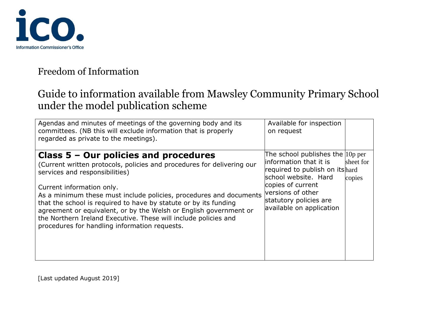

### Guide to information available from Mawsley Community Primary School under the model publication scheme

| Agendas and minutes of meetings of the governing body and its<br>committees. (NB this will exclude information that is properly<br>regarded as private to the meetings).                                                                                                                                                                                                                                                                                                                                            | Available for inspection<br>on request                                                                                                                                                                                  |                     |
|---------------------------------------------------------------------------------------------------------------------------------------------------------------------------------------------------------------------------------------------------------------------------------------------------------------------------------------------------------------------------------------------------------------------------------------------------------------------------------------------------------------------|-------------------------------------------------------------------------------------------------------------------------------------------------------------------------------------------------------------------------|---------------------|
| Class $5 -$ Our policies and procedures<br>(Current written protocols, policies and procedures for delivering our<br>services and responsibilities)<br>Current information only.<br>As a minimum these must include policies, procedures and documents<br>that the school is required to have by statute or by its funding<br>agreement or equivalent, or by the Welsh or English government or<br>the Northern Ireland Executive. These will include policies and<br>procedures for handling information requests. | The school publishes the $10p$ per<br>linformation that it is<br>required to publish on itshard<br>school website. Hard<br>copies of current<br>versions of other<br>statutory policies are<br>available on application | sheet for<br>copies |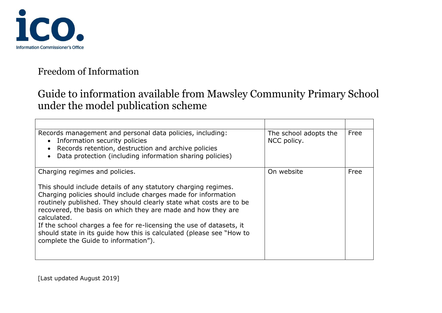

# Guide to information available from Mawsley Community Primary School under the model publication scheme

| Records management and personal data policies, including:<br>Information security policies<br>$\bullet$<br>Records retention, destruction and archive policies<br>Data protection (including information sharing policies)                                                                                                                                                                                                                                                    | The school adopts the<br>NCC policy. | Free |
|-------------------------------------------------------------------------------------------------------------------------------------------------------------------------------------------------------------------------------------------------------------------------------------------------------------------------------------------------------------------------------------------------------------------------------------------------------------------------------|--------------------------------------|------|
| Charging regimes and policies.                                                                                                                                                                                                                                                                                                                                                                                                                                                | On website                           | Free |
| This should include details of any statutory charging regimes.<br>Charging policies should include charges made for information<br>routinely published. They should clearly state what costs are to be<br>recovered, the basis on which they are made and how they are<br>calculated.<br>If the school charges a fee for re-licensing the use of datasets, it<br>should state in its quide how this is calculated (please see "How to<br>complete the Guide to information"). |                                      |      |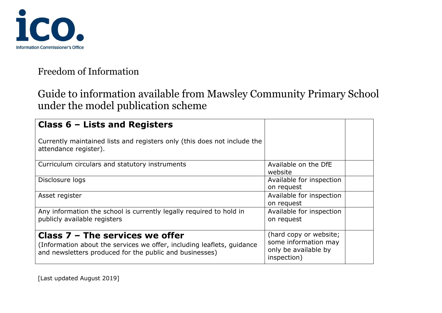

# Guide to information available from Mawsley Community Primary School under the model publication scheme

| Class $6$ – Lists and Registers                                                                                                                                        |                                                                                       |  |
|------------------------------------------------------------------------------------------------------------------------------------------------------------------------|---------------------------------------------------------------------------------------|--|
| Currently maintained lists and registers only (this does not include the<br>attendance register).                                                                      |                                                                                       |  |
| Curriculum circulars and statutory instruments                                                                                                                         | Available on the DfE<br>website                                                       |  |
| Disclosure logs                                                                                                                                                        | Available for inspection<br>on request                                                |  |
| Asset register                                                                                                                                                         | Available for inspection<br>on request                                                |  |
| Any information the school is currently legally required to hold in<br>publicly available registers                                                                    | Available for inspection<br>on request                                                |  |
| Class $7 -$ The services we offer<br>(Information about the services we offer, including leaflets, quidance<br>and newsletters produced for the public and businesses) | (hard copy or website;<br>some information may<br>only be available by<br>inspection) |  |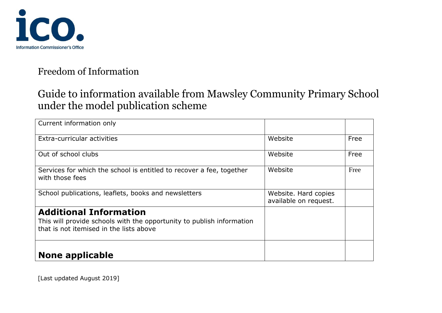

# Guide to information available from Mawsley Community Primary School under the model publication scheme

| Current information only                                                                                                                          |                                               |      |
|---------------------------------------------------------------------------------------------------------------------------------------------------|-----------------------------------------------|------|
| Extra-curricular activities                                                                                                                       | Website                                       | Free |
| Out of school clubs                                                                                                                               | Website                                       | Free |
| Services for which the school is entitled to recover a fee, together<br>with those fees                                                           | Website                                       | Free |
| School publications, leaflets, books and newsletters                                                                                              | Website. Hard copies<br>available on request. |      |
| <b>Additional Information</b><br>This will provide schools with the opportunity to publish information<br>that is not itemised in the lists above |                                               |      |
| <b>None applicable</b>                                                                                                                            |                                               |      |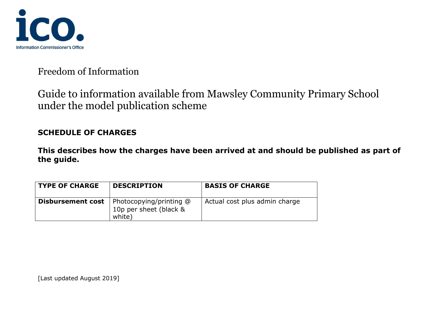

Guide to information available from Mawsley Community Primary School under the model publication scheme

#### **SCHEDULE OF CHARGES**

**This describes how the charges have been arrived at and should be published as part of the guide.**

| <b>TYPE OF CHARGE</b>    | <b>DESCRIPTION</b>                                          | <b>BASIS OF CHARGE</b>        |
|--------------------------|-------------------------------------------------------------|-------------------------------|
| <b>Disbursement cost</b> | Photocopying/printing @<br>10p per sheet (black &<br>white) | Actual cost plus admin charge |